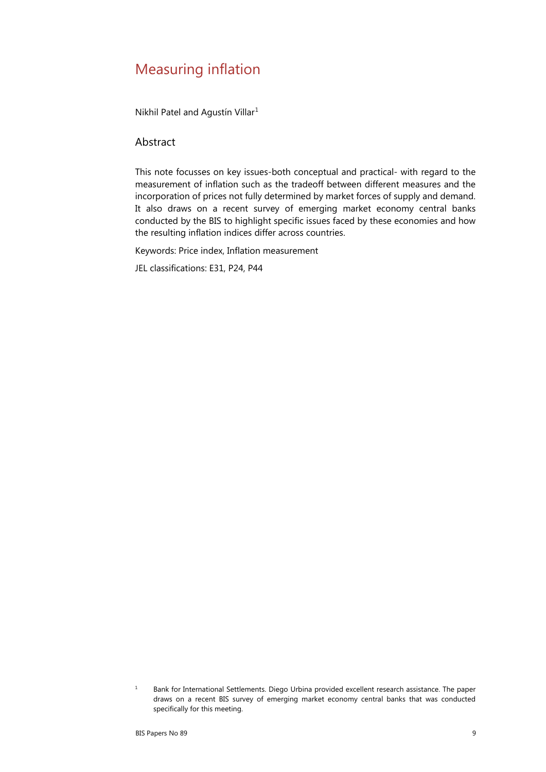## Measuring inflation

Nikhil Patel and Agustín Villar[1](#page-0-0)

#### Abstract

This note focusses on key issues-both conceptual and practical- with regard to the measurement of inflation such as the tradeoff between different measures and the incorporation of prices not fully determined by market forces of supply and demand. It also draws on a recent survey of emerging market economy central banks conducted by the BIS to highlight specific issues faced by these economies and how the resulting inflation indices differ across countries.

Keywords: Price index, Inflation measurement

JEL classifications: E31, P24, P44

<span id="page-0-0"></span> $1 -$ Bank for International Settlements. Diego Urbina provided excellent research assistance. The paper draws on a recent BIS survey of emerging market economy central banks that was conducted specifically for this meeting.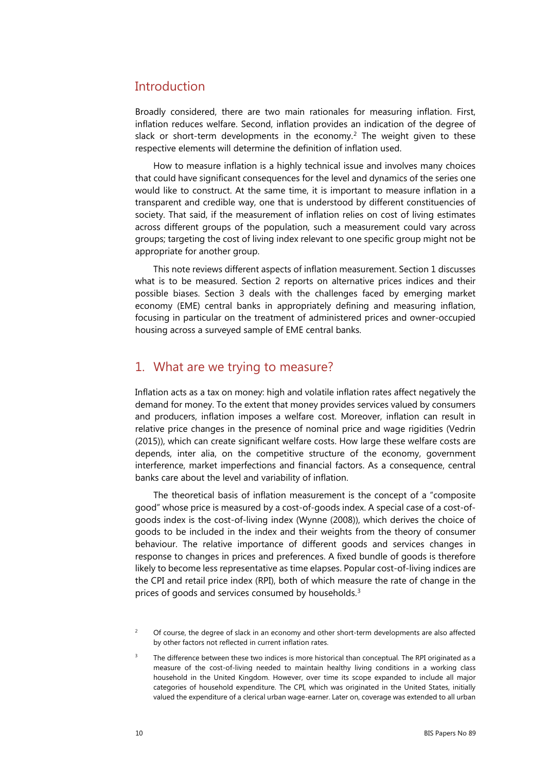## **Introduction**

Broadly considered, there are two main rationales for measuring inflation. First, inflation reduces welfare. Second, inflation provides an indication of the degree of slack or short-term developments in the economy.<sup>[2](#page-1-0)</sup> The weight given to these respective elements will determine the definition of inflation used.

How to measure inflation is a highly technical issue and involves many choices that could have significant consequences for the level and dynamics of the series one would like to construct. At the same time, it is important to measure inflation in a transparent and credible way, one that is understood by different constituencies of society. That said, if the measurement of inflation relies on cost of living estimates across different groups of the population, such a measurement could vary across groups; targeting the cost of living index relevant to one specific group might not be appropriate for another group.

This note reviews different aspects of inflation measurement. Section 1 discusses what is to be measured. Section 2 reports on alternative prices indices and their possible biases. Section 3 deals with the challenges faced by emerging market economy (EME) central banks in appropriately defining and measuring inflation, focusing in particular on the treatment of administered prices and owner-occupied housing across a surveyed sample of EME central banks.

### 1. What are we trying to measure?

Inflation acts as a tax on money: high and volatile inflation rates affect negatively the demand for money. To the extent that money provides services valued by consumers and producers, inflation imposes a welfare cost. Moreover, inflation can result in relative price changes in the presence of nominal price and wage rigidities (Vedrin (2015)), which can create significant welfare costs. How large these welfare costs are depends, inter alia, on the competitive structure of the economy, government interference, market imperfections and financial factors. As a consequence, central banks care about the level and variability of inflation.

The theoretical basis of inflation measurement is the concept of a "composite good" whose price is measured by a cost-of-goods index. A special case of a cost-ofgoods index is the cost-of-living index (Wynne (2008)), which derives the choice of goods to be included in the index and their weights from the theory of consumer behaviour. The relative importance of different goods and services changes in response to changes in prices and preferences. A fixed bundle of goods is therefore likely to become less representative as time elapses. Popular cost-of-living indices are the CPI and retail price index (RPI), both of which measure the rate of change in the prices of goods and services consumed by households.<sup>[3](#page-1-1)</sup>

<span id="page-1-0"></span><sup>2</sup> Of course, the degree of slack in an economy and other short-term developments are also affected by other factors not reflected in current inflation rates.

<span id="page-1-1"></span>The difference between these two indices is more historical than conceptual. The RPI originated as a measure of the cost-of-living needed to maintain healthy living conditions in a working class household in the United Kingdom. However, over time its scope expanded to include all major categories of household expenditure. The CPI, which was originated in the United States, initially valued the expenditure of a clerical urban wage-earner. Later on, coverage was extended to all urban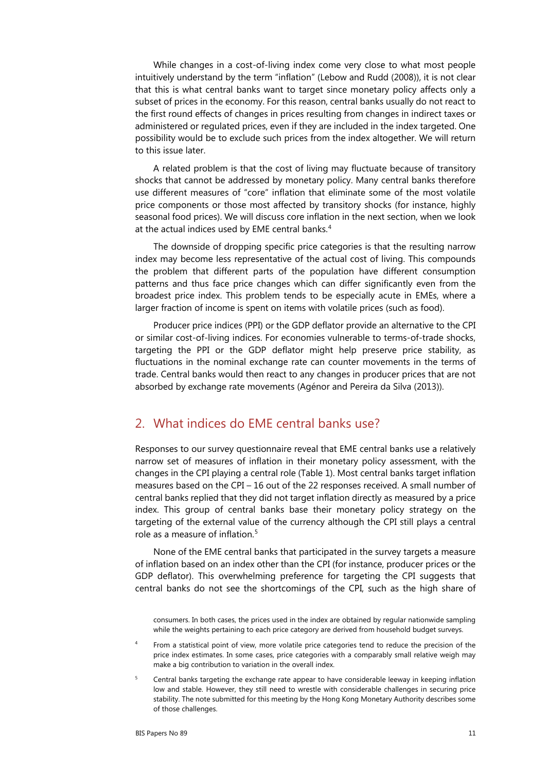While changes in a cost-of-living index come very close to what most people intuitively understand by the term "inflation" (Lebow and Rudd (2008)), it is not clear that this is what central banks want to target since monetary policy affects only a subset of prices in the economy. For this reason, central banks usually do not react to the first round effects of changes in prices resulting from changes in indirect taxes or administered or regulated prices, even if they are included in the index targeted. One possibility would be to exclude such prices from the index altogether. We will return to this issue later.

A related problem is that the cost of living may fluctuate because of transitory shocks that cannot be addressed by monetary policy. Many central banks therefore use different measures of "core" inflation that eliminate some of the most volatile price components or those most affected by transitory shocks (for instance, highly seasonal food prices). We will discuss core inflation in the next section, when we look at the actual indices used by EME central banks.<sup>[4](#page-2-0)</sup>

The downside of dropping specific price categories is that the resulting narrow index may become less representative of the actual cost of living. This compounds the problem that different parts of the population have different consumption patterns and thus face price changes which can differ significantly even from the broadest price index. This problem tends to be especially acute in EMEs, where a larger fraction of income is spent on items with volatile prices (such as food).

Producer price indices (PPI) or the GDP deflator provide an alternative to the CPI or similar cost-of-living indices. For economies vulnerable to terms-of-trade shocks, targeting the PPI or the GDP deflator might help preserve price stability, as fluctuations in the nominal exchange rate can counter movements in the terms of trade. Central banks would then react to any changes in producer prices that are not absorbed by exchange rate movements (Agénor and Pereira da Silva (2013)).

### 2. What indices do EME central banks use?

Responses to our survey questionnaire reveal that EME central banks use a relatively narrow set of measures of inflation in their monetary policy assessment, with the changes in the CPI playing a central role (Table 1). Most central banks target inflation measures based on the CPI – 16 out of the 22 responses received. A small number of central banks replied that they did not target inflation directly as measured by a price index. This group of central banks base their monetary policy strategy on the targeting of the external value of the currency although the CPI still plays a central role as a measure of inflation. [5](#page-2-1)

None of the EME central banks that participated in the survey targets a measure of inflation based on an index other than the CPI (for instance, producer prices or the GDP deflator). This overwhelming preference for targeting the CPI suggests that central banks do not see the shortcomings of the CPI, such as the high share of

consumers. In both cases, the prices used in the index are obtained by regular nationwide sampling while the weights pertaining to each price category are derived from household budget surveys.

- <span id="page-2-0"></span>From a statistical point of view, more volatile price categories tend to reduce the precision of the price index estimates. In some cases, price categories with a comparably small relative weigh may make a big contribution to variation in the overall index.
- <span id="page-2-1"></span><sup>5</sup> Central banks targeting the exchange rate appear to have considerable leeway in keeping inflation low and stable. However, they still need to wrestle with considerable challenges in securing price stability. The note submitted for this meeting by the Hong Kong Monetary Authority describes some of those challenges.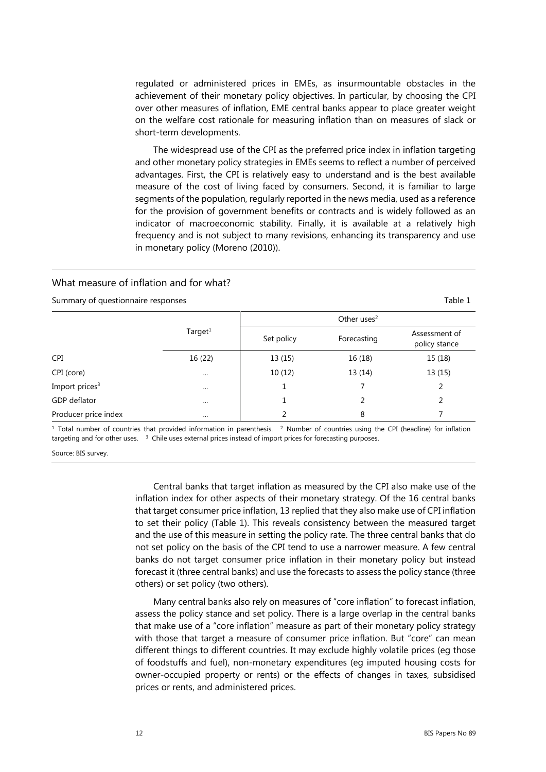regulated or administered prices in EMEs, as insurmountable obstacles in the achievement of their monetary policy objectives. In particular, by choosing the CPI over other measures of inflation, EME central banks appear to place greater weight on the welfare cost rationale for measuring inflation than on measures of slack or short-term developments.

The widespread use of the CPI as the preferred price index in inflation targeting and other monetary policy strategies in EMEs seems to reflect a number of perceived advantages. First, the CPI is relatively easy to understand and is the best available measure of the cost of living faced by consumers. Second, it is familiar to large segments of the population, regularly reported in the news media, used as a reference for the provision of government benefits or contracts and is widely followed as an indicator of macroeconomic stability. Finally, it is available at a relatively high frequency and is not subject to many revisions, enhancing its transparency and use in monetary policy (Moreno (2010)).

#### What measure of inflation and for what?

Summary of questionnaire responses Table 1 and the state of the state of the state of the state 1 and 1 and 1 and 1 and 1 and 1 and 1 and 1 and 1 and 1 and 1 and 1 and 1 and 1 and 1 and 1 and 1 and 1 and 1 and 1 and 1 and

|                            |            |            | Other uses $2$ |                                |
|----------------------------|------------|------------|----------------|--------------------------------|
|                            | Target $1$ | Set policy | Forecasting    | Assessment of<br>policy stance |
| CPI                        | 16 (22)    | 13(15)     | 16 (18)        | 15 (18)                        |
| CPI (core)                 |            | 10(12)     | 13 (14)        | 13(15)                         |
| Import prices <sup>3</sup> | $\cdots$   |            |                | 2                              |
| <b>GDP</b> deflator        | $\cdots$   |            |                | 2                              |
| Producer price index       | $\cdots$   | C          | 8              |                                |

 $1$  Total number of countries that provided information in parenthesis.  $2$  Number of countries using the CPI (headline) for inflation targeting and for other uses. <sup>3</sup> Chile uses external prices instead of import prices for forecasting purposes.

Source: BIS survey.

Central banks that target inflation as measured by the CPI also make use of the inflation index for other aspects of their monetary strategy. Of the 16 central banks that target consumer price inflation, 13 replied that they also make use of CPI inflation to set their policy (Table 1). This reveals consistency between the measured target and the use of this measure in setting the policy rate. The three central banks that do not set policy on the basis of the CPI tend to use a narrower measure. A few central banks do not target consumer price inflation in their monetary policy but instead forecast it (three central banks) and use the forecasts to assess the policy stance (three others) or set policy (two others).

Many central banks also rely on measures of "core inflation" to forecast inflation, assess the policy stance and set policy. There is a large overlap in the central banks that make use of a "core inflation" measure as part of their monetary policy strategy with those that target a measure of consumer price inflation. But "core" can mean different things to different countries. It may exclude highly volatile prices (eg those of foodstuffs and fuel), non-monetary expenditures (eg imputed housing costs for owner-occupied property or rents) or the effects of changes in taxes, subsidised prices or rents, and administered prices.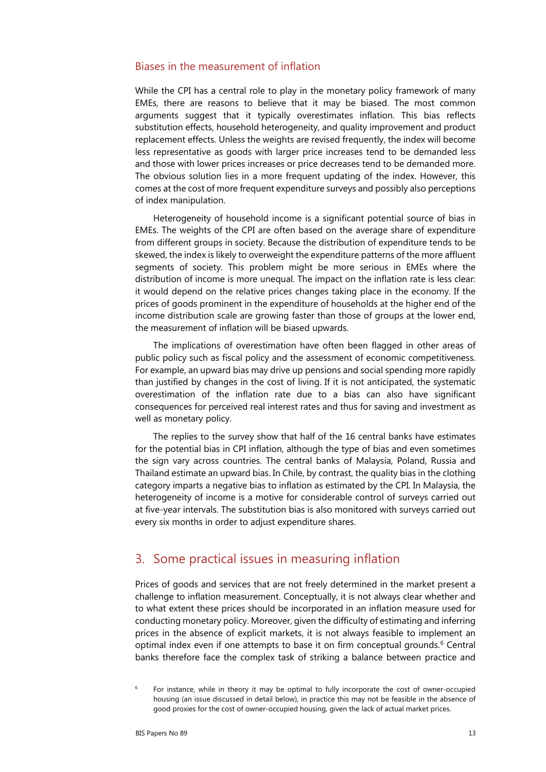#### Biases in the measurement of inflation

While the CPI has a central role to play in the monetary policy framework of many EMEs, there are reasons to believe that it may be biased. The most common arguments suggest that it typically overestimates inflation. This bias reflects substitution effects, household heterogeneity, and quality improvement and product replacement effects. Unless the weights are revised frequently, the index will become less representative as goods with larger price increases tend to be demanded less and those with lower prices increases or price decreases tend to be demanded more. The obvious solution lies in a more frequent updating of the index. However, this comes at the cost of more frequent expenditure surveys and possibly also perceptions of index manipulation.

Heterogeneity of household income is a significant potential source of bias in EMEs. The weights of the CPI are often based on the average share of expenditure from different groups in society. Because the distribution of expenditure tends to be skewed, the index is likely to overweight the expenditure patterns of the more affluent segments of society. This problem might be more serious in EMEs where the distribution of income is more unequal. The impact on the inflation rate is less clear: it would depend on the relative prices changes taking place in the economy. If the prices of goods prominent in the expenditure of households at the higher end of the income distribution scale are growing faster than those of groups at the lower end, the measurement of inflation will be biased upwards.

The implications of overestimation have often been flagged in other areas of public policy such as fiscal policy and the assessment of economic competitiveness. For example, an upward bias may drive up pensions and social spending more rapidly than justified by changes in the cost of living. If it is not anticipated, the systematic overestimation of the inflation rate due to a bias can also have significant consequences for perceived real interest rates and thus for saving and investment as well as monetary policy.

The replies to the survey show that half of the 16 central banks have estimates for the potential bias in CPI inflation, although the type of bias and even sometimes the sign vary across countries. The central banks of Malaysia, Poland, Russia and Thailand estimate an upward bias. In Chile, by contrast, the quality bias in the clothing category imparts a negative bias to inflation as estimated by the CPI. In Malaysia, the heterogeneity of income is a motive for considerable control of surveys carried out at five-year intervals. The substitution bias is also monitored with surveys carried out every six months in order to adjust expenditure shares.

## 3. Some practical issues in measuring inflation

Prices of goods and services that are not freely determined in the market present a challenge to inflation measurement. Conceptually, it is not always clear whether and to what extent these prices should be incorporated in an inflation measure used for conducting monetary policy. Moreover, given the difficulty of estimating and inferring prices in the absence of explicit markets, it is not always feasible to implement an optimal index even if one attempts to base it on firm conceptual grounds.<sup>[6](#page-4-0)</sup> Central banks therefore face the complex task of striking a balance between practice and

<span id="page-4-0"></span> $6$  For instance, while in theory it may be optimal to fully incorporate the cost of owner-occupied housing (an issue discussed in detail below), in practice this may not be feasible in the absence of good proxies for the cost of owner-occupied housing, given the lack of actual market prices.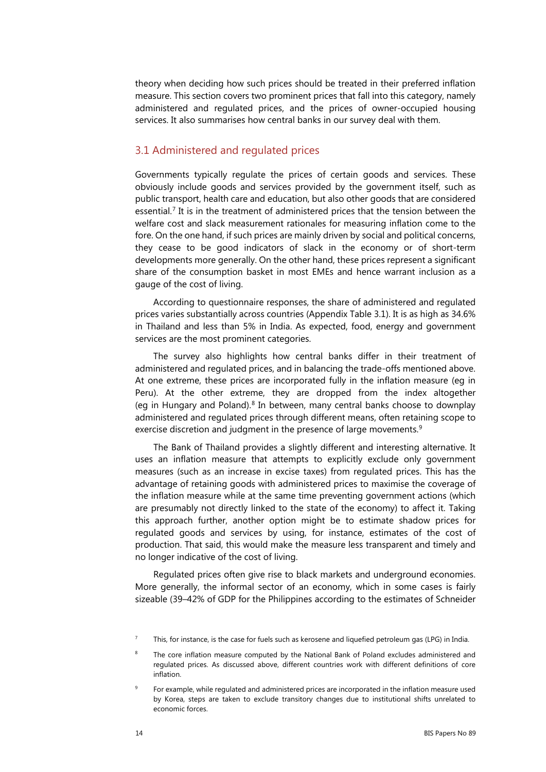theory when deciding how such prices should be treated in their preferred inflation measure. This section covers two prominent prices that fall into this category, namely administered and regulated prices, and the prices of owner-occupied housing services. It also summarises how central banks in our survey deal with them.

#### 3.1 Administered and regulated prices

Governments typically regulate the prices of certain goods and services. These obviously include goods and services provided by the government itself, such as public transport, health care and education, but also other goods that are considered essential.<sup>[7](#page-5-0)</sup> It is in the treatment of administered prices that the tension between the welfare cost and slack measurement rationales for measuring inflation come to the fore. On the one hand, if such prices are mainly driven by social and political concerns, they cease to be good indicators of slack in the economy or of short-term developments more generally. On the other hand, these prices represent a significant share of the consumption basket in most EMEs and hence warrant inclusion as a gauge of the cost of living.

According to questionnaire responses, the share of administered and regulated prices varies substantially across countries (Appendix Table 3.1). It is as high as 34.6% in Thailand and less than 5% in India. As expected, food, energy and government services are the most prominent categories.

The survey also highlights how central banks differ in their treatment of administered and regulated prices, and in balancing the trade-offs mentioned above. At one extreme, these prices are incorporated fully in the inflation measure (eg in Peru). At the other extreme, they are dropped from the index altogether (eg in Hungary and Poland).<sup>[8](#page-5-1)</sup> In between, many central banks choose to downplay administered and regulated prices through different means, often retaining scope to exercise discretion and judgment in the presence of large movements.<sup>[9](#page-5-2)</sup>

The Bank of Thailand provides a slightly different and interesting alternative. It uses an inflation measure that attempts to explicitly exclude only government measures (such as an increase in excise taxes) from regulated prices. This has the advantage of retaining goods with administered prices to maximise the coverage of the inflation measure while at the same time preventing government actions (which are presumably not directly linked to the state of the economy) to affect it. Taking this approach further, another option might be to estimate shadow prices for regulated goods and services by using, for instance, estimates of the cost of production. That said, this would make the measure less transparent and timely and no longer indicative of the cost of living.

Regulated prices often give rise to black markets and underground economies. More generally, the informal sector of an economy, which in some cases is fairly sizeable (39–42% of GDP for the Philippines according to the estimates of Schneider

This, for instance, is the case for fuels such as kerosene and liquefied petroleum gas (LPG) in India.

<span id="page-5-1"></span><span id="page-5-0"></span>The core inflation measure computed by the National Bank of Poland excludes administered and regulated prices. As discussed above, different countries work with different definitions of core inflation.

<span id="page-5-2"></span><sup>9</sup> For example, while regulated and administered prices are incorporated in the inflation measure used by Korea, steps are taken to exclude transitory changes due to institutional shifts unrelated to economic forces.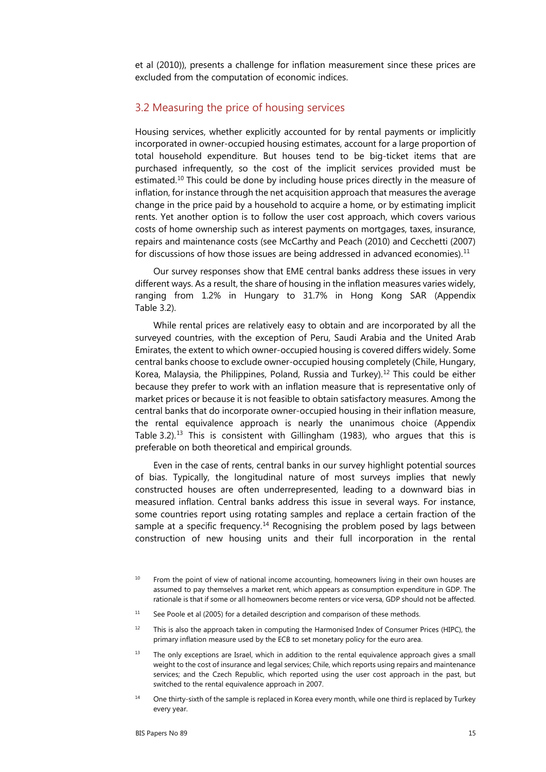et al (2010)), presents a challenge for inflation measurement since these prices are excluded from the computation of economic indices.

#### 3.2 Measuring the price of housing services

Housing services, whether explicitly accounted for by rental payments or implicitly incorporated in owner-occupied housing estimates, account for a large proportion of total household expenditure. But houses tend to be big-ticket items that are purchased infrequently, so the cost of the implicit services provided must be estimated.<sup>[10](#page-6-0)</sup> This could be done by including house prices directly in the measure of inflation, for instance through the net acquisition approach that measures the average change in the price paid by a household to acquire a home, or by estimating implicit rents. Yet another option is to follow the user cost approach, which covers various costs of home ownership such as interest payments on mortgages, taxes, insurance, repairs and maintenance costs (see McCarthy and Peach (2010) and Cecchetti (2007) for discussions of how those issues are being addressed in advanced economies).<sup>[11](#page-6-1)</sup>

Our survey responses show that EME central banks address these issues in very different ways. As a result, the share of housing in the inflation measures varies widely, ranging from 1.2% in Hungary to 31.7% in Hong Kong SAR (Appendix Table 3.2).

While rental prices are relatively easy to obtain and are incorporated by all the surveyed countries, with the exception of Peru, Saudi Arabia and the United Arab Emirates, the extent to which owner-occupied housing is covered differs widely. Some central banks choose to exclude owner-occupied housing completely (Chile, Hungary, Korea, Malaysia, the Philippines, Poland, Russia and Turkey).<sup>[12](#page-6-2)</sup> This could be either because they prefer to work with an inflation measure that is representative only of market prices or because it is not feasible to obtain satisfactory measures. Among the central banks that do incorporate owner-occupied housing in their inflation measure, the rental equivalence approach is nearly the unanimous choice (Appendix Table 3.2).<sup>[13](#page-6-3)</sup> This is consistent with Gillingham (1983), who argues that this is preferable on both theoretical and empirical grounds.

Even in the case of rents, central banks in our survey highlight potential sources of bias. Typically, the longitudinal nature of most surveys implies that newly constructed houses are often underrepresented, leading to a downward bias in measured inflation. Central banks address this issue in several ways. For instance, some countries report using rotating samples and replace a certain fraction of the sample at a specific frequency.<sup>[14](#page-6-4)</sup> Recognising the problem posed by lags between construction of new housing units and their full incorporation in the rental

- <span id="page-6-1"></span> $11$  See Poole et al (2005) for a detailed description and comparison of these methods.
- <span id="page-6-2"></span> $12$  This is also the approach taken in computing the Harmonised Index of Consumer Prices (HIPC), the primary inflation measure used by the ECB to set monetary policy for the euro area.
- <span id="page-6-3"></span><sup>13</sup> The only exceptions are Israel, which in addition to the rental equivalence approach gives a small weight to the cost of insurance and legal services; Chile, which reports using repairs and maintenance services; and the Czech Republic, which reported using the user cost approach in the past, but switched to the rental equivalence approach in 2007.
- <span id="page-6-4"></span>One thirty-sixth of the sample is replaced in Korea every month, while one third is replaced by Turkey every year.

<span id="page-6-0"></span><sup>&</sup>lt;sup>10</sup> From the point of view of national income accounting, homeowners living in their own houses are assumed to pay themselves a market rent, which appears as consumption expenditure in GDP. The rationale is that if some or all homeowners become renters or vice versa, GDP should not be affected.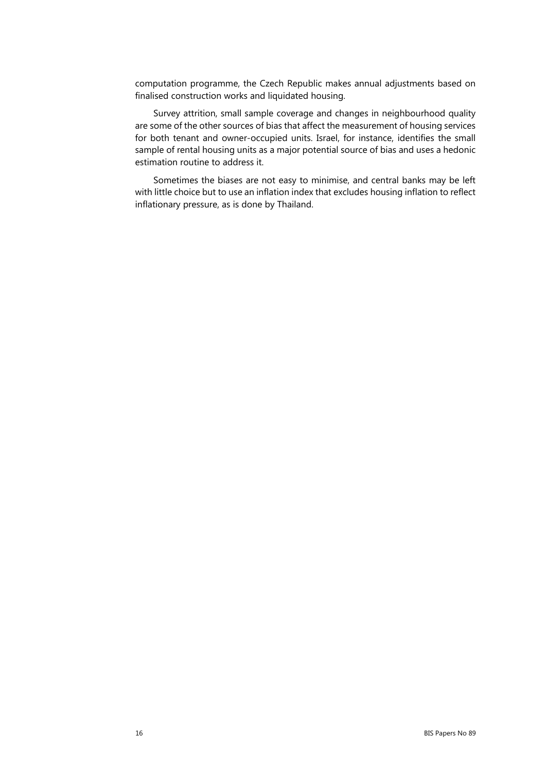computation programme, the Czech Republic makes annual adjustments based on finalised construction works and liquidated housing.

Survey attrition, small sample coverage and changes in neighbourhood quality are some of the other sources of bias that affect the measurement of housing services for both tenant and owner-occupied units. Israel, for instance, identifies the small sample of rental housing units as a major potential source of bias and uses a hedonic estimation routine to address it.

Sometimes the biases are not easy to minimise, and central banks may be left with little choice but to use an inflation index that excludes housing inflation to reflect inflationary pressure, as is done by Thailand.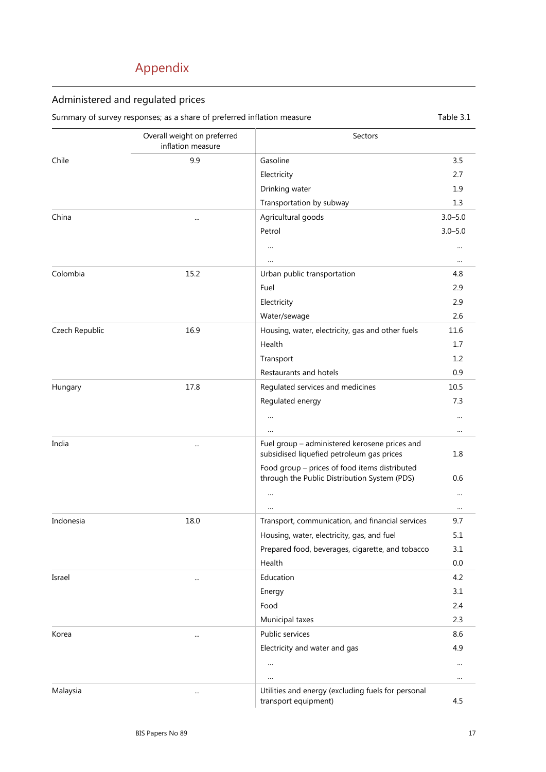# Appendix

## Administered and regulated prices

Summary of survey responses; as a share of preferred inflation measure Table 3.1

|                | Overall weight on preferred<br>inflation measure | Sectors                                                                                       |             |
|----------------|--------------------------------------------------|-----------------------------------------------------------------------------------------------|-------------|
| Chile          | 9.9                                              | Gasoline                                                                                      | 3.5         |
|                |                                                  | Electricity                                                                                   | 2.7         |
|                |                                                  | Drinking water                                                                                | 1.9         |
|                |                                                  | Transportation by subway                                                                      | 1.3         |
| China          |                                                  | Agricultural goods                                                                            | $3.0 - 5.0$ |
|                |                                                  | Petrol                                                                                        | $3.0 - 5.0$ |
|                |                                                  | $\ldots$                                                                                      |             |
|                |                                                  | $\ldots$                                                                                      | $\cdots$    |
| Colombia       | 15.2                                             | Urban public transportation                                                                   | 4.8         |
|                |                                                  | Fuel                                                                                          | 2.9         |
|                |                                                  | Electricity                                                                                   | 2.9         |
|                |                                                  | Water/sewage                                                                                  | 2.6         |
| Czech Republic | 16.9                                             | Housing, water, electricity, gas and other fuels                                              | 11.6        |
|                |                                                  | Health                                                                                        | 1.7         |
|                |                                                  | Transport                                                                                     | 1.2         |
|                |                                                  | Restaurants and hotels                                                                        | 0.9         |
| Hungary        | 17.8                                             | Regulated services and medicines                                                              | 10.5        |
|                |                                                  | Regulated energy                                                                              | 7.3         |
|                |                                                  | $\ldots$                                                                                      |             |
|                |                                                  | $\cdots$                                                                                      |             |
| India          |                                                  | Fuel group - administered kerosene prices and<br>subsidised liquefied petroleum gas prices    | 1.8         |
|                |                                                  | Food group - prices of food items distributed<br>through the Public Distribution System (PDS) | 0.6         |
|                |                                                  | $\cdots$                                                                                      |             |
|                |                                                  | $\ldots$                                                                                      | $\cdots$    |
| Indonesia      | 18.0                                             | Transport, communication, and financial services                                              | 9.7         |
|                |                                                  | Housing, water, electricity, gas, and fuel                                                    | 5.1         |
|                |                                                  | Prepared food, beverages, cigarette, and tobacco                                              | 3.1         |
|                |                                                  | Health                                                                                        | 0.0         |
| Israel         |                                                  | Education                                                                                     | 4.2         |
|                |                                                  | Energy                                                                                        | 3.1         |
|                |                                                  | Food                                                                                          | 2.4         |
|                |                                                  | Municipal taxes                                                                               | 2.3         |
| Korea          |                                                  | Public services                                                                               | 8.6         |
|                |                                                  | Electricity and water and gas                                                                 | 4.9         |
|                |                                                  | $\ldots$                                                                                      |             |
|                |                                                  | $\cdots$                                                                                      |             |
| Malaysia       |                                                  | Utilities and energy (excluding fuels for personal<br>transport equipment)                    | 4.5         |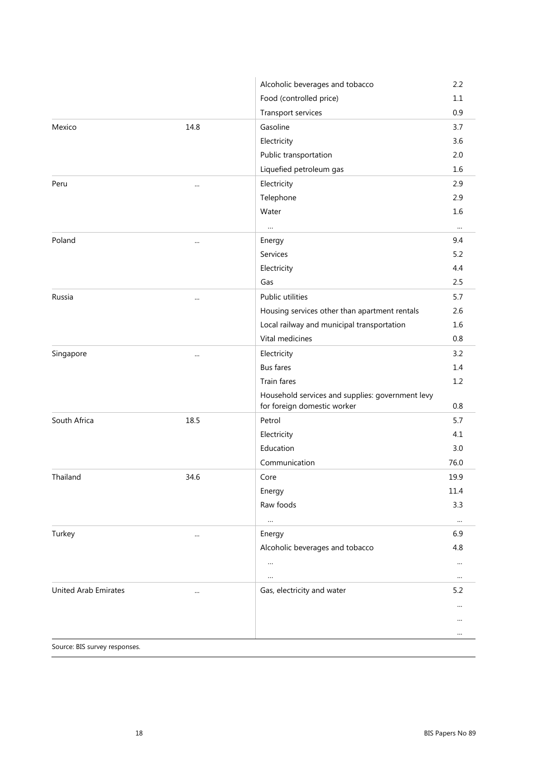|                             |          | Alcoholic beverages and tobacco                                                 | 2.2      |
|-----------------------------|----------|---------------------------------------------------------------------------------|----------|
|                             |          | Food (controlled price)                                                         | 1.1      |
|                             |          | Transport services                                                              | 0.9      |
| Mexico                      | 14.8     | Gasoline                                                                        | 3.7      |
|                             |          | Electricity                                                                     | 3.6      |
|                             |          | Public transportation                                                           | 2.0      |
|                             |          | Liquefied petroleum gas                                                         | 1.6      |
| Peru                        |          | Electricity                                                                     | 2.9      |
|                             |          | Telephone                                                                       | 2.9      |
|                             |          | Water                                                                           | 1.6      |
|                             |          | $\ldots$                                                                        | $\cdots$ |
| Poland                      |          | Energy                                                                          | 9.4      |
|                             |          | Services                                                                        | 5.2      |
|                             |          | Electricity                                                                     | 4.4      |
|                             |          | Gas                                                                             | 2.5      |
| Russia                      |          | Public utilities                                                                | 5.7      |
|                             |          | Housing services other than apartment rentals                                   | 2.6      |
|                             |          | Local railway and municipal transportation                                      | 1.6      |
|                             |          | Vital medicines                                                                 | 0.8      |
| Singapore                   | $\cdots$ | Electricity                                                                     | 3.2      |
|                             |          | <b>Bus fares</b>                                                                | 1.4      |
|                             |          | Train fares                                                                     | 1.2      |
|                             |          | Household services and supplies: government levy<br>for foreign domestic worker | $0.8\,$  |
| South Africa                | 18.5     | Petrol                                                                          | 5.7      |
|                             |          | Electricity                                                                     | 4.1      |
|                             |          | Education                                                                       | 3.0      |
|                             |          | Communication                                                                   | 76.0     |
| Thailand                    | 34.6     | Core                                                                            | 19.9     |
|                             |          | Energy                                                                          | 11.4     |
|                             |          | Raw foods                                                                       | 3.3      |
|                             |          | $\ldots$                                                                        | $\cdots$ |
| Turkey                      | $\cdots$ | Energy                                                                          | 6.9      |
|                             |          | Alcoholic beverages and tobacco                                                 | 4.8      |
|                             |          | $\ldots$                                                                        | $\cdots$ |
|                             |          | $\ldots$                                                                        | $\cdots$ |
| <b>United Arab Emirates</b> | $\cdots$ | Gas, electricity and water                                                      | 5.2      |
|                             |          |                                                                                 |          |
|                             |          |                                                                                 |          |
|                             |          |                                                                                 | $\cdots$ |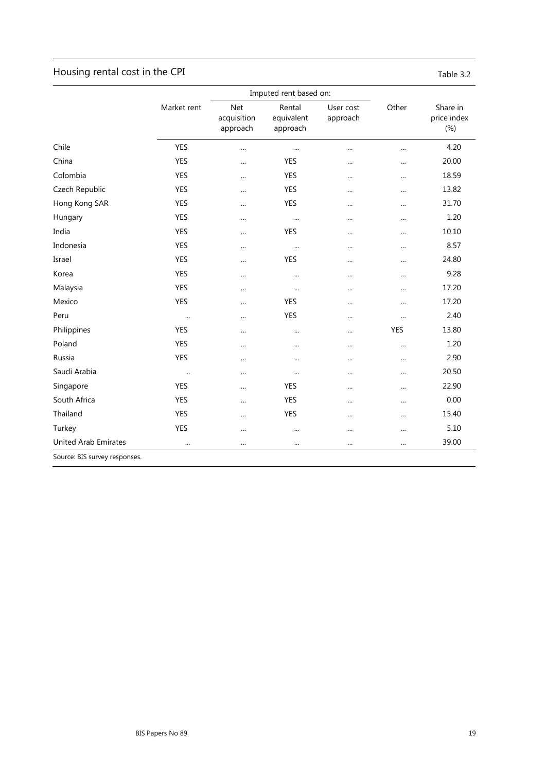## Housing rental cost in the CPI discussed and the CPI Table 3.2

| able |  |  |
|------|--|--|

|                              |             | Imputed rent based on:                |                                  |                       |            |                                   |  |
|------------------------------|-------------|---------------------------------------|----------------------------------|-----------------------|------------|-----------------------------------|--|
|                              | Market rent | <b>Net</b><br>acquisition<br>approach | Rental<br>equivalent<br>approach | User cost<br>approach | Other      | Share in<br>price index<br>$(\%)$ |  |
| Chile                        | <b>YES</b>  |                                       | $\cdots$                         | $\cdots$              |            | 4.20                              |  |
| China                        | <b>YES</b>  | $\cdots$                              | <b>YES</b>                       |                       |            | 20.00                             |  |
| Colombia                     | <b>YES</b>  |                                       | <b>YES</b>                       |                       | $\cdots$   | 18.59                             |  |
| Czech Republic               | YES         |                                       | YES                              |                       |            | 13.82                             |  |
| Hong Kong SAR                | <b>YES</b>  |                                       | <b>YES</b>                       | $\cdots$              |            | 31.70                             |  |
| Hungary                      | <b>YES</b>  |                                       | $\cdots$                         |                       | $\cdots$   | 1.20                              |  |
| India                        | YES         | $\cdots$                              | <b>YES</b>                       |                       | $\cdots$   | 10.10                             |  |
| Indonesia                    | <b>YES</b>  | $\cdots$                              | $\cdots$                         | $\cdots$              |            | 8.57                              |  |
| Israel                       | <b>YES</b>  |                                       | <b>YES</b>                       |                       |            | 24.80                             |  |
| Korea                        | <b>YES</b>  |                                       | $\cdots$                         |                       | $\cdots$   | 9.28                              |  |
| Malaysia                     | YES         |                                       | $\cdots$                         |                       |            | 17.20                             |  |
| Mexico                       | <b>YES</b>  | $\cdots$                              | <b>YES</b>                       |                       |            | 17.20                             |  |
| Peru                         | $\cdots$    | $\cdots$                              | YES                              | $\cdots$              | $\cdots$   | 2.40                              |  |
| Philippines                  | <b>YES</b>  |                                       | $\cdots$                         |                       | <b>YES</b> | 13.80                             |  |
| Poland                       | <b>YES</b>  |                                       | $\cdots$                         |                       | $\cdots$   | 1.20                              |  |
| Russia                       | <b>YES</b>  |                                       |                                  |                       |            | 2.90                              |  |
| Saudi Arabia                 | $\cdots$    | $\cdots$                              | $\cdots$                         |                       | $\cdots$   | 20.50                             |  |
| Singapore                    | <b>YES</b>  | $\cdots$                              | <b>YES</b>                       |                       | $\cdots$   | 22.90                             |  |
| South Africa                 | <b>YES</b>  |                                       | <b>YES</b>                       |                       |            | 0.00                              |  |
| Thailand                     | <b>YES</b>  | $\cdots$                              | <b>YES</b>                       | $\cdots$              | $\cdots$   | 15.40                             |  |
| Turkey                       | <b>YES</b>  |                                       | $\cdots$                         |                       | $\cdots$   | 5.10                              |  |
| <b>United Arab Emirates</b>  |             |                                       |                                  |                       | $\cdots$   | 39.00                             |  |
| Course: DIC sunsey responses |             |                                       |                                  |                       |            |                                   |  |

Source: BIS survey responses.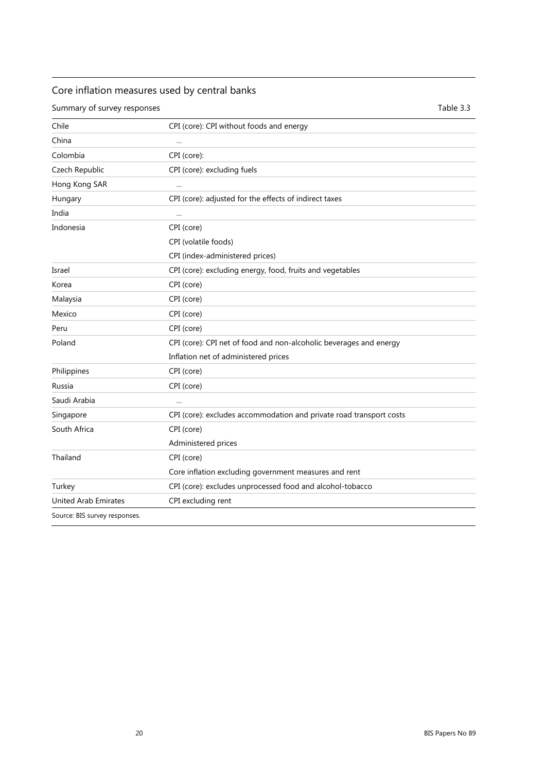## Core inflation measures used by central banks

Summary of survey responses Table 3.3

| Chile                       | CPI (core): CPI without foods and energy                            |
|-----------------------------|---------------------------------------------------------------------|
| China                       | $\ddotsc$                                                           |
| Colombia                    | CPI (core):                                                         |
| Czech Republic              | CPI (core): excluding fuels                                         |
| Hong Kong SAR               | $\ddotsc$                                                           |
| Hungary                     | CPI (core): adjusted for the effects of indirect taxes              |
| India                       | $\ddotsc$                                                           |
| Indonesia                   | CPI (core)                                                          |
|                             | CPI (volatile foods)                                                |
|                             | CPI (index-administered prices)                                     |
| Israel                      | CPI (core): excluding energy, food, fruits and vegetables           |
| Korea                       | CPI (core)                                                          |
| Malaysia                    | CPI (core)                                                          |
| Mexico                      | CPI (core)                                                          |
| Peru                        | CPI (core)                                                          |
| Poland                      | CPI (core): CPI net of food and non-alcoholic beverages and energy  |
|                             | Inflation net of administered prices                                |
| Philippines                 | CPI (core)                                                          |
| Russia                      | CPI (core)                                                          |
| Saudi Arabia                | $\ddotsc$                                                           |
| Singapore                   | CPI (core): excludes accommodation and private road transport costs |
| South Africa                | CPI (core)                                                          |
|                             | Administered prices                                                 |
| Thailand                    | CPI (core)                                                          |
|                             | Core inflation excluding government measures and rent               |
| Turkey                      | CPI (core): excludes unprocessed food and alcohol-tobacco           |
| <b>United Arab Emirates</b> | CPI excluding rent                                                  |